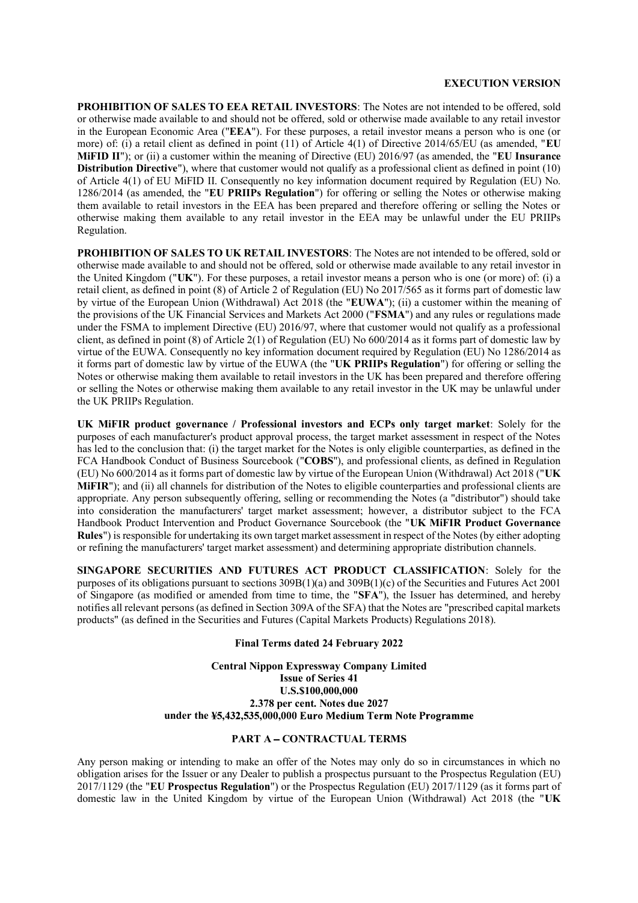### **EXECUTION VERSION**

**PROHIBITION OF SALES TO EEA RETAIL INVESTORS**: The Notes are not intended to be offered, sold or otherwise made available to and should not be offered, sold or otherwise made available to any retail investor in the European Economic Area ("**EEA**"). For these purposes, a retail investor means a person who is one (or more) of: (i) a retail client as defined in point (11) of Article 4(1) of Directive 2014/65/EU (as amended, "**EU MiFID II**"); or (ii) a customer within the meaning of Directive (EU) 2016/97 (as amended, the "**EU Insurance Distribution Directive**"), where that customer would not qualify as a professional client as defined in point (10) of Article 4(1) of EU MiFID II. Consequently no key information document required by Regulation (EU) No. 1286/2014 (as amended, the "**EU PRIIPs Regulation**") for offering or selling the Notes or otherwise making them available to retail investors in the EEA has been prepared and therefore offering or selling the Notes or otherwise making them available to any retail investor in the EEA may be unlawful under the EU PRIIPs Regulation.

**PROHIBITION OF SALES TO UK RETAIL INVESTORS**: The Notes are not intended to be offered, sold or otherwise made available to and should not be offered, sold or otherwise made available to any retail investor in the United Kingdom ("**UK**"). For these purposes, a retail investor means a person who is one (or more) of: (i) a retail client, as defined in point (8) of Article 2 of Regulation (EU) No 2017/565 as it forms part of domestic law by virtue of the European Union (Withdrawal) Act 2018 (the "**EUWA**"); (ii) a customer within the meaning of the provisions of the UK Financial Services and Markets Act 2000 ("**FSMA**") and any rules or regulations made under the FSMA to implement Directive (EU) 2016/97, where that customer would not qualify as a professional client, as defined in point (8) of Article 2(1) of Regulation (EU) No 600/2014 as it forms part of domestic law by virtue of the EUWA. Consequently no key information document required by Regulation (EU) No 1286/2014 as it forms part of domestic law by virtue of the EUWA (the "**UK PRIIPs Regulation**") for offering or selling the Notes or otherwise making them available to retail investors in the UK has been prepared and therefore offering or selling the Notes or otherwise making them available to any retail investor in the UK may be unlawful under the UK PRIIPs Regulation.

**UK MiFIR product governance / Professional investors and ECPs only target market**: Solely for the purposes of each manufacturer's product approval process, the target market assessment in respect of the Notes has led to the conclusion that: (i) the target market for the Notes is only eligible counterparties, as defined in the FCA Handbook Conduct of Business Sourcebook ("**COBS**"), and professional clients, as defined in Regulation (EU) No 600/2014 asit forms part of domestic law by virtue of the European Union (Withdrawal) Act 2018 ("**UK MiFIR**"); and (ii) all channels for distribution of the Notes to eligible counterparties and professional clients are appropriate. Any person subsequently offering, selling or recommending the Notes (a "distributor") should take into consideration the manufacturers' target market assessment; however, a distributor subject to the FCA Handbook Product Intervention and Product Governance Sourcebook (the "**UK MiFIR Product Governance Rules**") is responsible for undertaking its own target market assessment in respect of the Notes (by either adopting or refining the manufacturers' target market assessment) and determining appropriate distribution channels.

**SINGAPORE SECURITIES AND FUTURES ACT PRODUCT CLASSIFICATION**: Solely for the purposes of its obligations pursuant to sections 309B(1)(a) and 309B(1)(c) of the Securities and Futures Act 2001 of Singapore (as modified or amended from time to time, the "**SFA**"), the Issuer has determined, and hereby notifies all relevant persons (as defined in Section 309A of the SFA) that the Notes are "prescribed capital markets products" (as defined in the Securities and Futures (Capital Markets Products) Regulations 2018).

#### **Final Terms dated 24 February 2022**

**Central Nippon Expressway Company Limited Issue of Series 41 U.S.\$100,000,000 2.378 per cent. Notes due 2027** under the ¥5,432,535,000,000 Euro Medium Term Note Programme

## **PART A CONTRACTUAL TERMS**

Any person making or intending to make an offer of the Notes may only do so in circumstances in which no obligation arises for the Issuer or any Dealer to publish a prospectus pursuant to the Prospectus Regulation (EU) 2017/1129 (the "**EU Prospectus Regulation**") or the Prospectus Regulation (EU) 2017/1129 (as it forms part of domestic law in the United Kingdom by virtue of the European Union (Withdrawal) Act 2018 (the "**UK**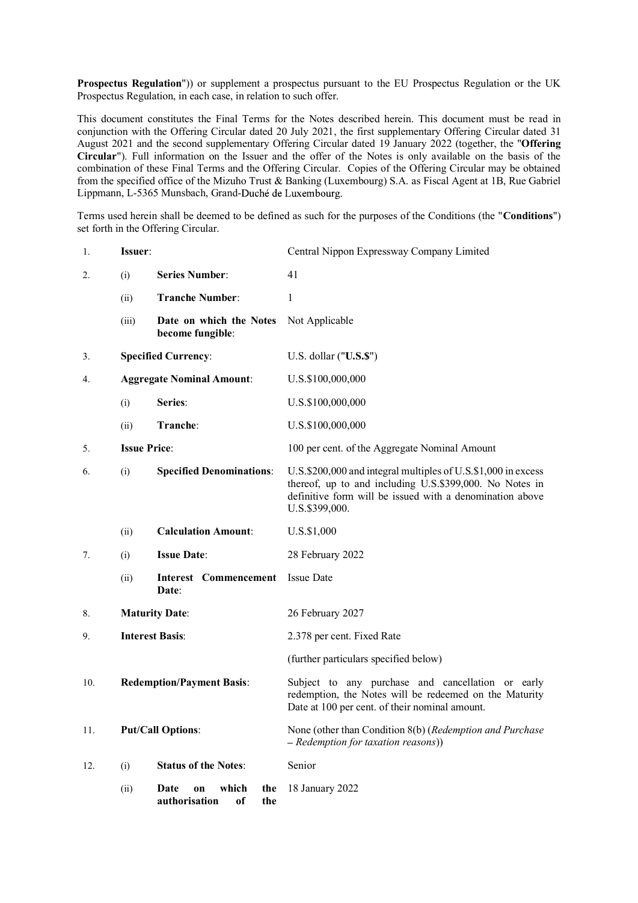**Prospectus Regulation**")) or supplement a prospectus pursuant to the EU Prospectus Regulation or the UK Prospectus Regulation, in each case, in relation to such offer.

This document constitutes the Final Terms for the Notes described herein. This document must be read in conjunction with the Offering Circular dated 20 July 2021, the first supplementary Offering Circular dated 31 August 2021 and the second supplementary Offering Circular dated 19 January 2022 (together, the "**Offering Circular**"). Full information on the Issuer and the offer of the Notes is only available on the basis of the combination of these Final Terms and the Offering Circular. Copies of the Offering Circular may be obtained from the specified office of the Mizuho Trust & Banking (Luxembourg) S.A. as Fiscal Agent at 1B, Rue Gabriel Lippmann, L-5365 Munsbach, Grand-Duché de Luxembourg.

Terms used herein shall be deemed to be defined as such for the purposes of the Conditions (the "**Conditions**") set forth in the Offering Circular.

| 1.  | Issuer:                          |                                                          | Central Nippon Expressway Company Limited                                                                                                                                                              |
|-----|----------------------------------|----------------------------------------------------------|--------------------------------------------------------------------------------------------------------------------------------------------------------------------------------------------------------|
| 2.  | (i)                              | <b>Series Number:</b>                                    | 41                                                                                                                                                                                                     |
|     | (ii)                             | <b>Tranche Number:</b>                                   | $\mathbf{1}$                                                                                                                                                                                           |
|     | (iii)                            | Date on which the Notes<br>become fungible:              | Not Applicable                                                                                                                                                                                         |
| 3.  | <b>Specified Currency:</b>       |                                                          | U.S. dollar ("U.S.\$")                                                                                                                                                                                 |
| 4.  | <b>Aggregate Nominal Amount:</b> |                                                          | U.S.\$100,000,000                                                                                                                                                                                      |
|     | (i)                              | Series:                                                  | U.S.\$100,000,000                                                                                                                                                                                      |
|     | (ii)                             | Tranche:                                                 | U.S.\$100,000,000                                                                                                                                                                                      |
| 5.  | <b>Issue Price:</b>              |                                                          | 100 per cent. of the Aggregate Nominal Amount                                                                                                                                                          |
| 6.  | (i)                              | <b>Specified Denominations:</b>                          | U.S.\$200,000 and integral multiples of U.S.\$1,000 in excess<br>thereof, up to and including U.S.\$399,000. No Notes in<br>definitive form will be issued with a denomination above<br>U.S.\$399,000. |
|     | (ii)                             | <b>Calculation Amount:</b>                               | U.S.\$1,000                                                                                                                                                                                            |
| 7.  | (i)                              | <b>Issue Date:</b>                                       | 28 February 2022                                                                                                                                                                                       |
|     | (ii)                             | <b>Interest Commencement</b><br>Date:                    | <b>Issue Date</b>                                                                                                                                                                                      |
| 8.  | <b>Maturity Date:</b>            |                                                          | 26 February 2027                                                                                                                                                                                       |
| 9.  | <b>Interest Basis:</b>           |                                                          | 2.378 per cent. Fixed Rate                                                                                                                                                                             |
|     |                                  |                                                          | (further particulars specified below)                                                                                                                                                                  |
| 10. | <b>Redemption/Payment Basis:</b> |                                                          | Subject to any purchase and cancellation or early<br>redemption, the Notes will be redeemed on the Maturity<br>Date at 100 per cent. of their nominal amount.                                          |
| 11. |                                  | <b>Put/Call Options:</b>                                 | None (other than Condition 8(b) (Redemption and Purchase<br>- Redemption for taxation reasons))                                                                                                        |
| 12. | (i)                              | <b>Status of the Notes:</b>                              | Senior                                                                                                                                                                                                 |
|     | (ii)                             | Date<br>which<br>the<br>on<br>authorisation<br>оf<br>the | 18 January 2022                                                                                                                                                                                        |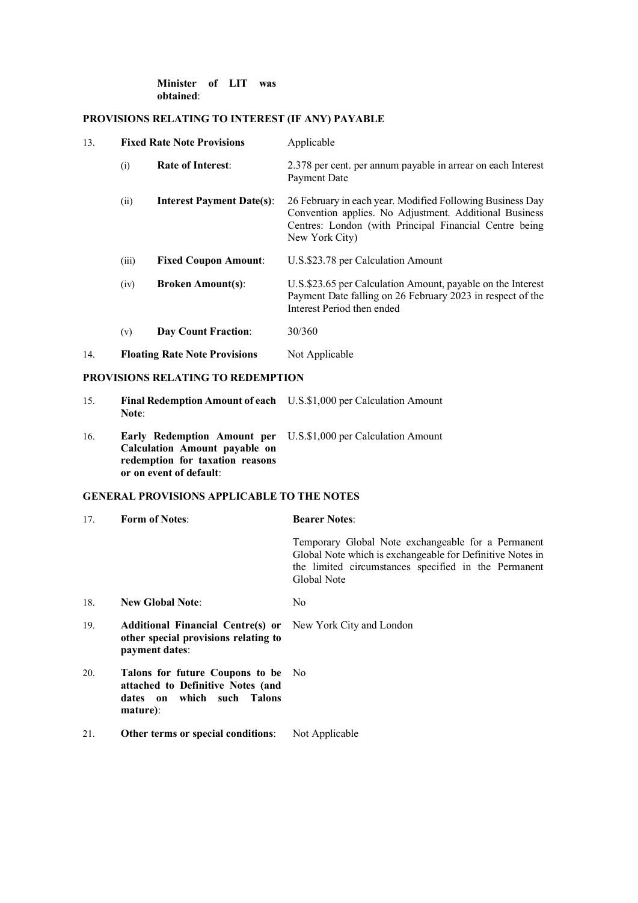## **Minister of LIT was obtained**:

# **PROVISIONS RELATING TO INTEREST (IF ANY) PAYABLE**

| 13. | <b>Fixed Rate Note Provisions</b>    |                                  | Applicable                                                                                                                                                                                      |
|-----|--------------------------------------|----------------------------------|-------------------------------------------------------------------------------------------------------------------------------------------------------------------------------------------------|
|     | (i)                                  | <b>Rate of Interest:</b>         | 2.378 per cent. per annum payable in arrear on each Interest<br>Payment Date                                                                                                                    |
|     | (ii)                                 | <b>Interest Payment Date(s):</b> | 26 February in each year. Modified Following Business Day<br>Convention applies. No Adjustment. Additional Business<br>Centres: London (with Principal Financial Centre being<br>New York City) |
|     | (iii)                                | <b>Fixed Coupon Amount:</b>      | U.S.\$23.78 per Calculation Amount                                                                                                                                                              |
|     | (iv)                                 | <b>Broken Amount(s):</b>         | U.S.\$23.65 per Calculation Amount, payable on the Interest<br>Payment Date falling on 26 February 2023 in respect of the<br>Interest Period then ended                                         |
|     | (v)                                  | Day Count Fraction:              | 30/360                                                                                                                                                                                          |
| 14. | <b>Floating Rate Note Provisions</b> |                                  | Not Applicable                                                                                                                                                                                  |

# **PROVISIONS RELATING TO REDEMPTION**

| 15. | Final Redemption Amount of each U.S.\$1,000 per Calculation Amount |  |
|-----|--------------------------------------------------------------------|--|
|     | Note:                                                              |  |

16. **Early Redemption Amount per Calculation Amount payable on redemption for taxation reasons or on event of default**: U.S.\$1,000 per Calculation Amount

# **GENERAL PROVISIONS APPLICABLE TO THE NOTES**

| 17. | <b>Form of Notes:</b>                                                                                                      | <b>Bearer Notes:</b>                                                                                                                                                                   |
|-----|----------------------------------------------------------------------------------------------------------------------------|----------------------------------------------------------------------------------------------------------------------------------------------------------------------------------------|
|     |                                                                                                                            | Temporary Global Note exchangeable for a Permanent<br>Global Note which is exchangeable for Definitive Notes in<br>the limited circumstances specified in the Permanent<br>Global Note |
| 18. | <b>New Global Note:</b>                                                                                                    | No.                                                                                                                                                                                    |
| 19. | <b>Additional Financial Centres) or</b> New York City and London<br>other special provisions relating to<br>payment dates: |                                                                                                                                                                                        |
| 20. | Talons for future Coupons to be No<br>attached to Definitive Notes (and<br>dates on which such Talons<br>mature):          |                                                                                                                                                                                        |
| 21. | Other terms or special conditions:                                                                                         | Not Applicable                                                                                                                                                                         |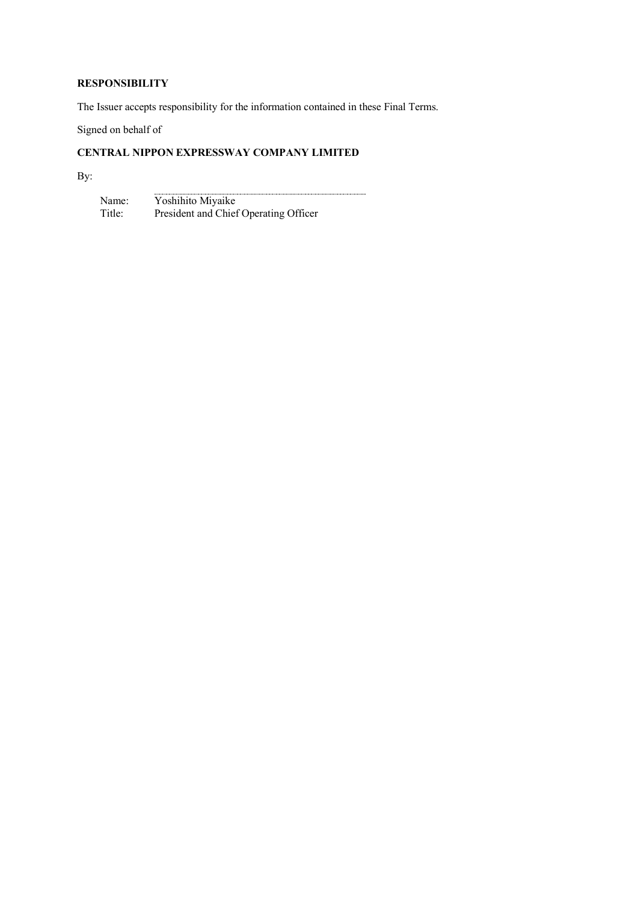# **RESPONSIBILITY**

The Issuer accepts responsibility for the information contained in these Final Terms.

Signed on behalf of

# **CENTRAL NIPPON EXPRESSWAY COMPANY LIMITED**

By:

Name: Title: Yoshihito Miyaike President and Chief Operating Officer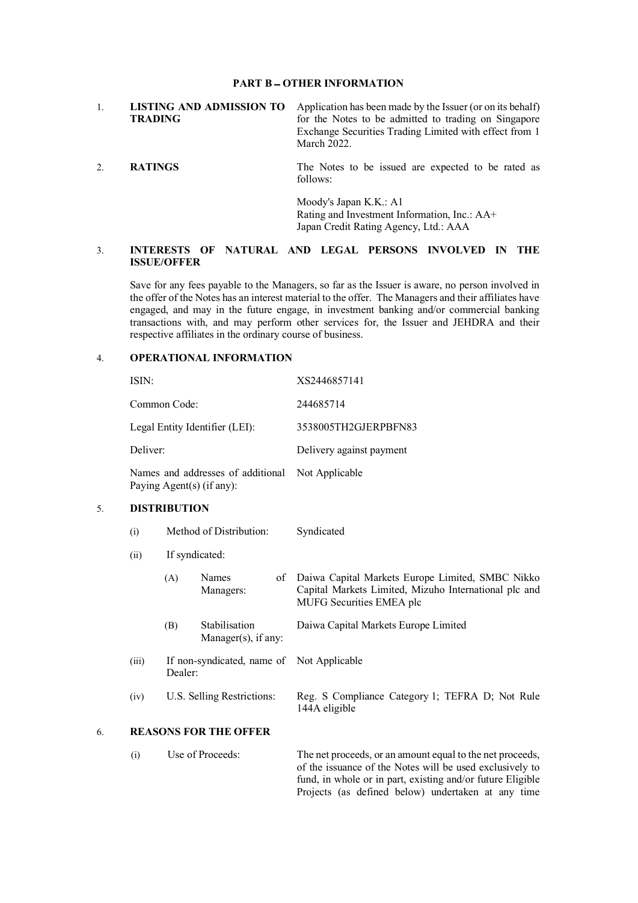#### **PART B OTHER INFORMATION**

|         | LISTING AND ADMISSION TO | Application has been made by the Issuer (or on its behalf) |
|---------|--------------------------|------------------------------------------------------------|
| TRADING |                          | for the Notes to be admitted to trading on Singapore       |
|         |                          | Exchange Securities Trading Limited with effect from 1     |
|         |                          | March 2022.                                                |

2. **RATINGS** The Notes to be issued are expected to be rated as follows:

> Moody's Japan K.K.: A1 Rating and Investment Information, Inc.: AA+ Japan Credit Rating Agency, Ltd.: AAA

# 3. **INTERESTS OF NATURAL AND LEGAL PERSONS INVOLVED IN THE ISSUE/OFFER**

Save for any fees payable to the Managers, so far as the Issuer is aware, no person involved in the offer of the Notes has an interest material to the offer. The Managers and their affiliates have engaged, and may in the future engage, in investment banking and/or commercial banking transactions with, and may perform other services for, the Issuer and JEHDRA and their respective affiliates in the ordinary course of business.

# 4. **OPERATIONAL INFORMATION**

|    | ISIN:<br>Common Code:<br>Legal Entity Identifier (LEI):        |                                       |                                      | XS2446857141                                                                                                                                                                        |  |
|----|----------------------------------------------------------------|---------------------------------------|--------------------------------------|-------------------------------------------------------------------------------------------------------------------------------------------------------------------------------------|--|
|    |                                                                |                                       |                                      | 244685714                                                                                                                                                                           |  |
|    |                                                                |                                       |                                      | 3538005TH2GJERPBFN83                                                                                                                                                                |  |
|    | Deliver:                                                       |                                       |                                      | Delivery against payment                                                                                                                                                            |  |
|    | Names and addresses of additional<br>Paying Agent(s) (if any): |                                       |                                      | Not Applicable                                                                                                                                                                      |  |
| 5. | <b>DISTRIBUTION</b>                                            |                                       |                                      |                                                                                                                                                                                     |  |
|    | (i)                                                            |                                       | Method of Distribution:              | Syndicated                                                                                                                                                                          |  |
|    | If syndicated:<br>(ii)                                         |                                       |                                      |                                                                                                                                                                                     |  |
|    |                                                                | (A)                                   | Names<br>of<br>Managers:             | Daiwa Capital Markets Europe Limited, SMBC Nikko<br>Capital Markets Limited, Mizuho International plc and<br>MUFG Securities EMEA plc                                               |  |
|    |                                                                | (B)                                   | Stabilisation<br>Manager(s), if any: | Daiwa Capital Markets Europe Limited                                                                                                                                                |  |
|    | (iii)                                                          | If non-syndicated, name of<br>Dealer: |                                      | Not Applicable                                                                                                                                                                      |  |
|    | (iv)                                                           | U.S. Selling Restrictions:            |                                      | Reg. S Compliance Category 1; TEFRA D; Not Rule<br>144A eligible                                                                                                                    |  |
| 6. | <b>REASONS FOR THE OFFER</b>                                   |                                       |                                      |                                                                                                                                                                                     |  |
|    | (i)                                                            |                                       | Use of Proceeds:                     | The net proceeds, or an amount equal to the net proceeds,<br>of the issuance of the Notes will be used exclusively to<br>fund, in whole or in part, existing and/or future Eligible |  |

Projects (as defined below) undertaken at any time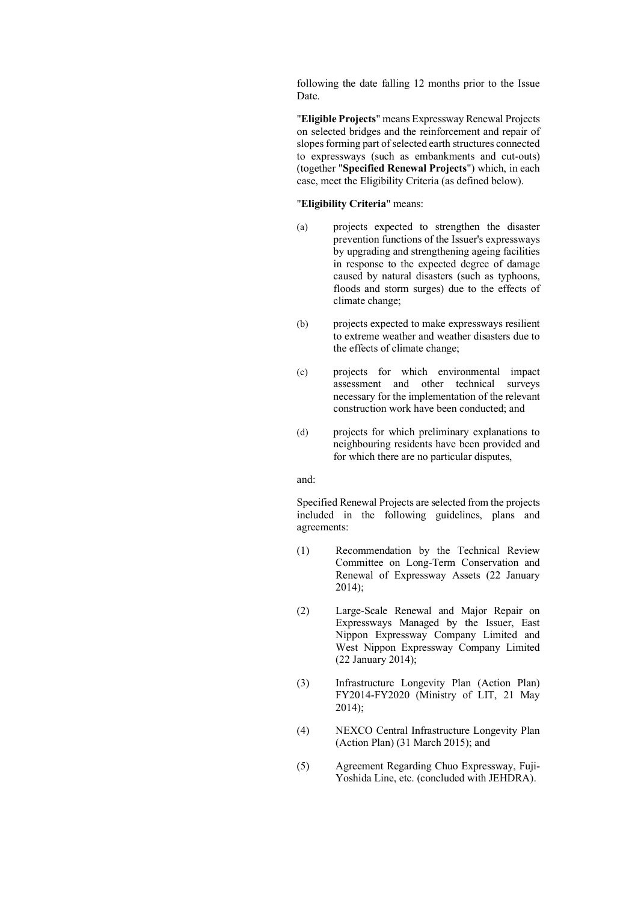following the date falling 12 months prior to the Issue Date.

"**Eligible Projects**" means Expressway Renewal Projects on selected bridges and the reinforcement and repair of slopes forming part of selected earth structures connected to expressways (such as embankments and cut-outs) (together "**Specified Renewal Projects**") which, in each case, meet the Eligibility Criteria (as defined below).

## "**Eligibility Criteria**" means:

- (a) projects expected to strengthen the disaster prevention functions of the Issuer's expressways by upgrading and strengthening ageing facilities in response to the expected degree of damage caused by natural disasters (such as typhoons, floods and storm surges) due to the effects of climate change;
- (b) projects expected to make expressways resilient to extreme weather and weather disasters due to the effects of climate change;
- (c) projects for which environmental impact assessment and other technical surveys necessary for the implementation of the relevant construction work have been conducted; and
- (d) projects for which preliminary explanations to neighbouring residents have been provided and for which there are no particular disputes,

## and:

Specified Renewal Projects are selected from the projects included in the following guidelines, plans and agreements:

- (1) Recommendation by the Technical Review Committee on Long-Term Conservation and Renewal of Expressway Assets (22 January 2014);
- (2) Large-Scale Renewal and Major Repair on Expressways Managed by the Issuer, East Nippon Expressway Company Limited and West Nippon Expressway Company Limited (22 January 2014);
- (3) Infrastructure Longevity Plan (Action Plan) FY2014-FY2020 (Ministry of LIT, 21 May 2014);
- (4) NEXCO Central Infrastructure Longevity Plan (Action Plan) (31 March 2015); and
- (5) Agreement Regarding Chuo Expressway, Fuji-Yoshida Line, etc. (concluded with JEHDRA).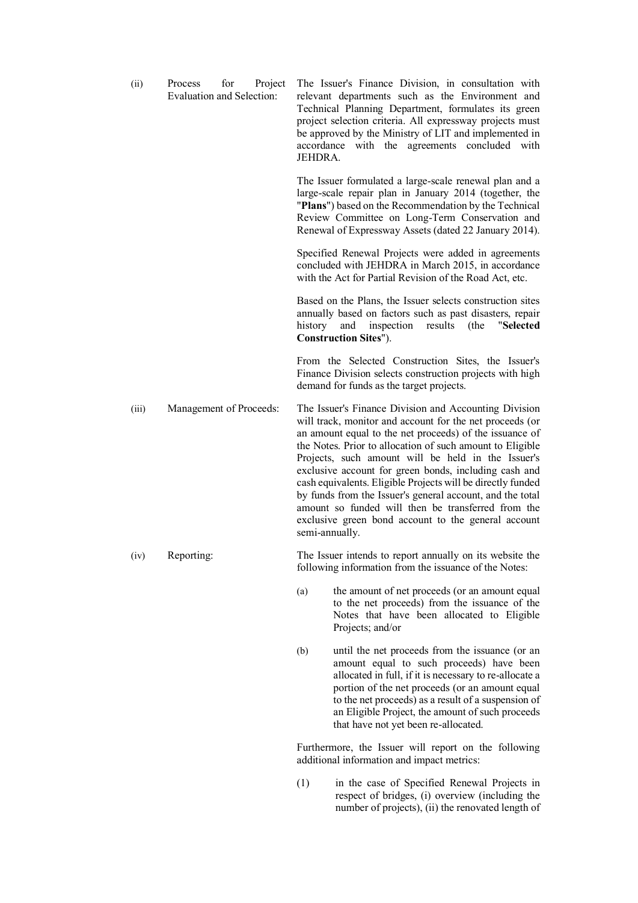| (ii)  | Process<br>for<br>Project<br><b>Evaluation and Selection:</b> | The Issuer's Finance Division, in consultation with<br>relevant departments such as the Environment and<br>Technical Planning Department, formulates its green<br>project selection criteria. All expressway projects must<br>be approved by the Ministry of LIT and implemented in<br>accordance with the agreements concluded with<br>JEHDRA.                                                                                                                                                                                                                                                                     |
|-------|---------------------------------------------------------------|---------------------------------------------------------------------------------------------------------------------------------------------------------------------------------------------------------------------------------------------------------------------------------------------------------------------------------------------------------------------------------------------------------------------------------------------------------------------------------------------------------------------------------------------------------------------------------------------------------------------|
|       |                                                               | The Issuer formulated a large-scale renewal plan and a<br>large-scale repair plan in January 2014 (together, the<br>"Plans") based on the Recommendation by the Technical<br>Review Committee on Long-Term Conservation and<br>Renewal of Expressway Assets (dated 22 January 2014).                                                                                                                                                                                                                                                                                                                                |
|       |                                                               | Specified Renewal Projects were added in agreements<br>concluded with JEHDRA in March 2015, in accordance<br>with the Act for Partial Revision of the Road Act, etc.                                                                                                                                                                                                                                                                                                                                                                                                                                                |
|       |                                                               | Based on the Plans, the Issuer selects construction sites<br>annually based on factors such as past disasters, repair<br>history<br>and<br>inspection<br>results<br>"Selected<br>(the<br><b>Construction Sites"</b> ).                                                                                                                                                                                                                                                                                                                                                                                              |
|       |                                                               | From the Selected Construction Sites, the Issuer's<br>Finance Division selects construction projects with high<br>demand for funds as the target projects.                                                                                                                                                                                                                                                                                                                                                                                                                                                          |
| (iii) | Management of Proceeds:                                       | The Issuer's Finance Division and Accounting Division<br>will track, monitor and account for the net proceeds (or<br>an amount equal to the net proceeds) of the issuance of<br>the Notes. Prior to allocation of such amount to Eligible<br>Projects, such amount will be held in the Issuer's<br>exclusive account for green bonds, including cash and<br>cash equivalents. Eligible Projects will be directly funded<br>by funds from the Issuer's general account, and the total<br>amount so funded will then be transferred from the<br>exclusive green bond account to the general account<br>semi-annually. |
| (iv)  | Reporting:                                                    | The Issuer intends to report annually on its website the<br>following information from the issuance of the Notes:                                                                                                                                                                                                                                                                                                                                                                                                                                                                                                   |
|       |                                                               | the amount of net proceeds (or an amount equal<br>(a)<br>to the net proceeds) from the issuance of the<br>Notes that have been allocated to Eligible<br>Projects; and/or                                                                                                                                                                                                                                                                                                                                                                                                                                            |

(b) until the net proceeds from the issuance (or an amount equal to such proceeds) have been allocated in full, if it is necessary to re-allocate a portion of the net proceeds (or an amount equal to the net proceeds) as a result of a suspension of an Eligible Project, the amount of such proceeds that have not yet been re-allocated.

Furthermore, the Issuer will report on the following additional information and impact metrics:

(1) in the case of Specified Renewal Projects in respect of bridges, (i) overview (including the number of projects), (ii) the renovated length of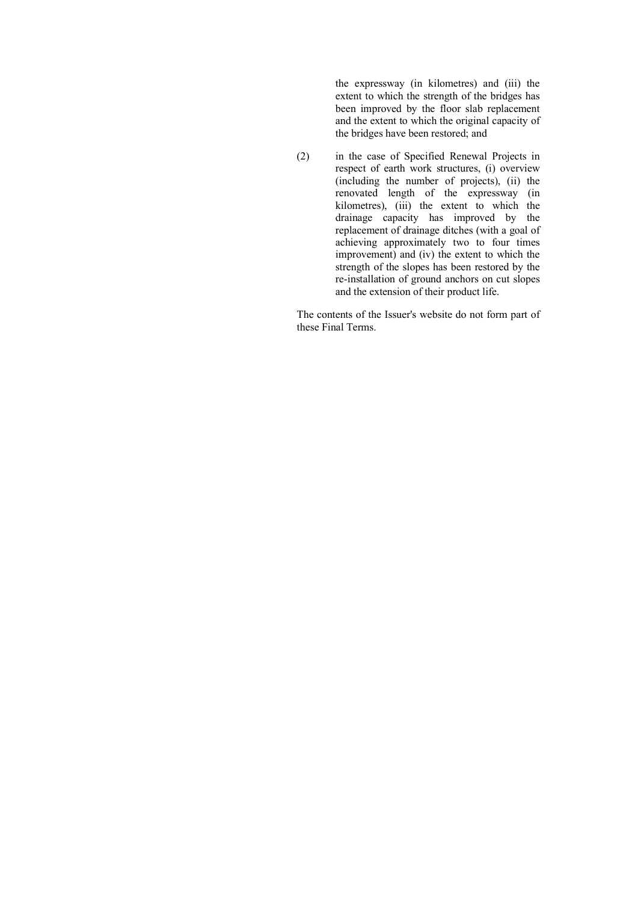the expressway (in kilometres) and (iii) the extent to which the strength of the bridges has been improved by the floor slab replacement and the extent to which the original capacity of the bridges have been restored; and

(2) in the case of Specified Renewal Projects in respect of earth work structures, (i) overview (including the number of projects), (ii) the renovated length of the expressway (in kilometres), (iii) the extent to which the drainage capacity has improved by the replacement of drainage ditches (with a goal of achieving approximately two to four times improvement) and (iv) the extent to which the strength of the slopes has been restored by the re-installation of ground anchors on cut slopes and the extension of their product life.

The contents of the Issuer's website do not form part of these Final Terms.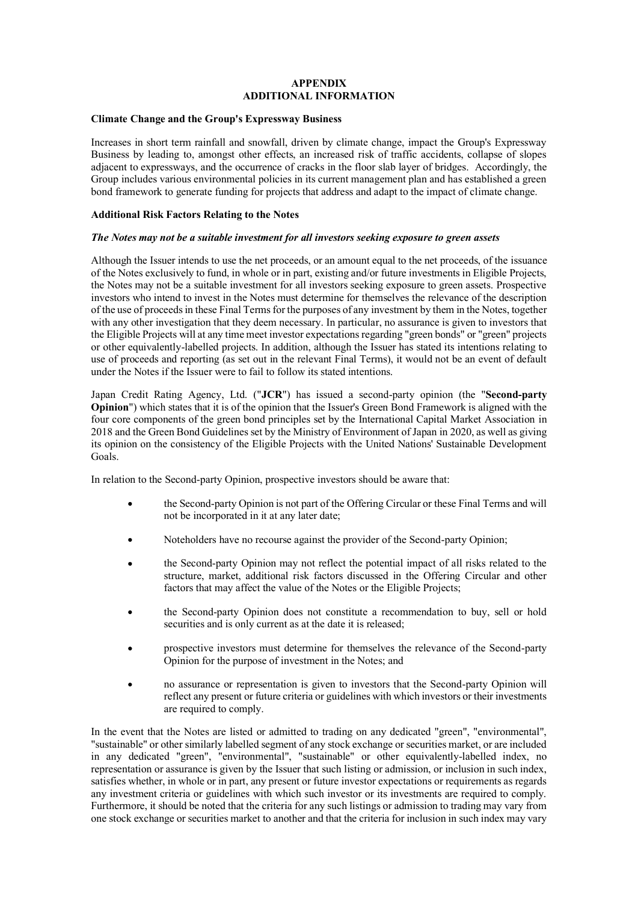# **APPENDIX ADDITIONAL INFORMATION**

#### **Climate Change and the Group's Expressway Business**

Increases in short term rainfall and snowfall, driven by climate change, impact the Group's Expressway Business by leading to, amongst other effects, an increased risk of traffic accidents, collapse of slopes adjacent to expressways, and the occurrence of cracks in the floor slab layer of bridges. Accordingly, the Group includes various environmental policies in its current management plan and has established a green bond framework to generate funding for projects that address and adapt to the impact of climate change.

## **Additional Risk Factors Relating to the Notes**

## *The Notes may not be a suitable investment for all investors seeking exposure to green assets*

Although the Issuer intends to use the net proceeds, or an amount equal to the net proceeds, of the issuance of the Notes exclusively to fund, in whole or in part, existing and/or future investments in Eligible Projects, the Notes may not be a suitable investment for all investors seeking exposure to green assets. Prospective investors who intend to invest in the Notes must determine for themselves the relevance of the description of the use of proceedsin these Final Termsfor the purposes of any investment by them in the Notes, together with any other investigation that they deem necessary. In particular, no assurance is given to investors that the Eligible Projects will at any time meet investor expectations regarding "green bonds" or "green" projects or other equivalently-labelled projects. In addition, although the Issuer has stated its intentions relating to use of proceeds and reporting (as set out in the relevant Final Terms), it would not be an event of default under the Notes if the Issuer were to fail to follow its stated intentions.

Japan Credit Rating Agency, Ltd. ("**JCR**") has issued a second-party opinion (the "**Second-party Opinion**") which states that it is of the opinion that the Issuer's Green Bond Framework is aligned with the four core components of the green bond principles set by the International Capital Market Association in 2018 and the Green Bond Guidelines set by the Ministry of Environment ofJapan in 2020, as well as giving its opinion on the consistency of the Eligible Projects with the United Nations' Sustainable Development Goals.

In relation to the Second-party Opinion, prospective investors should be aware that:

- the Second-party Opinion is not part of the Offering Circular or these Final Terms and will  $\bullet$ not be incorporated in it at any later date;
- Noteholders have no recourse against the provider of the Second-party Opinion;
- the Second-party Opinion may not reflect the potential impact of all risks related to the structure, market, additional risk factors discussed in the Offering Circular and other factors that may affect the value of the Notes or the Eligible Projects;
- the Second-party Opinion does not constitute a recommendation to buy, sell or hold securities and is only current as at the date it is released;
- prospective investors must determine for themselves the relevance of the Second-party Opinion for the purpose of investment in the Notes; and
- no assurance or representation is given to investors that the Second-party Opinion will reflect any present or future criteria or guidelines with which investors or their investments are required to comply.

In the event that the Notes are listed or admitted to trading on any dedicated "green", "environmental", "sustainable" or other similarly labelled segment of any stock exchange or securities market, or are included in any dedicated "green", "environmental", "sustainable" or other equivalently-labelled index, no representation or assurance is given by the Issuer that such listing or admission, or inclusion in such index, satisfies whether, in whole or in part, any present or future investor expectations or requirements as regards any investment criteria or guidelines with which such investor or its investments are required to comply. Furthermore, it should be noted that the criteria for any such listings or admission to trading may vary from one stock exchange or securities market to another and that the criteria for inclusion in such index may vary